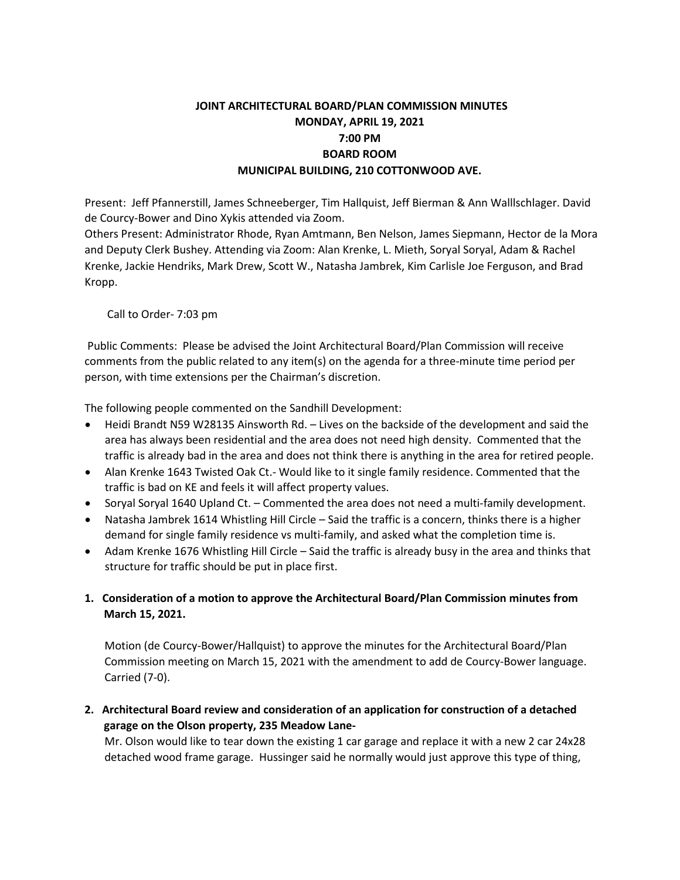# **JOINT ARCHITECTURAL BOARD/PLAN COMMISSION MINUTES MONDAY, APRIL 19, 2021 7:00 PM BOARD ROOM MUNICIPAL BUILDING, 210 COTTONWOOD AVE.**

Present: Jeff Pfannerstill, James Schneeberger, Tim Hallquist, Jeff Bierman & Ann Walllschlager. David de Courcy-Bower and Dino Xykis attended via Zoom.

Others Present: Administrator Rhode, Ryan Amtmann, Ben Nelson, James Siepmann, Hector de la Mora and Deputy Clerk Bushey. Attending via Zoom: Alan Krenke, L. Mieth, Soryal Soryal, Adam & Rachel Krenke, Jackie Hendriks, Mark Drew, Scott W., Natasha Jambrek, Kim Carlisle Joe Ferguson, and Brad Kropp.

Call to Order- 7:03 pm

Public Comments: Please be advised the Joint Architectural Board/Plan Commission will receive comments from the public related to any item(s) on the agenda for a three-minute time period per person, with time extensions per the Chairman's discretion.

The following people commented on the Sandhill Development:

- Heidi Brandt N59 W28135 Ainsworth Rd. Lives on the backside of the development and said the area has always been residential and the area does not need high density. Commented that the traffic is already bad in the area and does not think there is anything in the area for retired people.
- Alan Krenke 1643 Twisted Oak Ct.- Would like to it single family residence. Commented that the traffic is bad on KE and feels it will affect property values.
- Soryal Soryal 1640 Upland Ct. Commented the area does not need a multi-family development.
- Natasha Jambrek 1614 Whistling Hill Circle Said the traffic is a concern, thinks there is a higher demand for single family residence vs multi-family, and asked what the completion time is.
- Adam Krenke 1676 Whistling Hill Circle Said the traffic is already busy in the area and thinks that structure for traffic should be put in place first.
- **1. Consideration of a motion to approve the Architectural Board/Plan Commission minutes from March 15, 2021.**

Motion (de Courcy-Bower/Hallquist) to approve the minutes for the Architectural Board/Plan Commission meeting on March 15, 2021 with the amendment to add de Courcy-Bower language. Carried (7-0).

**2. Architectural Board review and consideration of an application for construction of a detached garage on the Olson property, 235 Meadow Lane-**

Mr. Olson would like to tear down the existing 1 car garage and replace it with a new 2 car 24x28 detached wood frame garage. Hussinger said he normally would just approve this type of thing,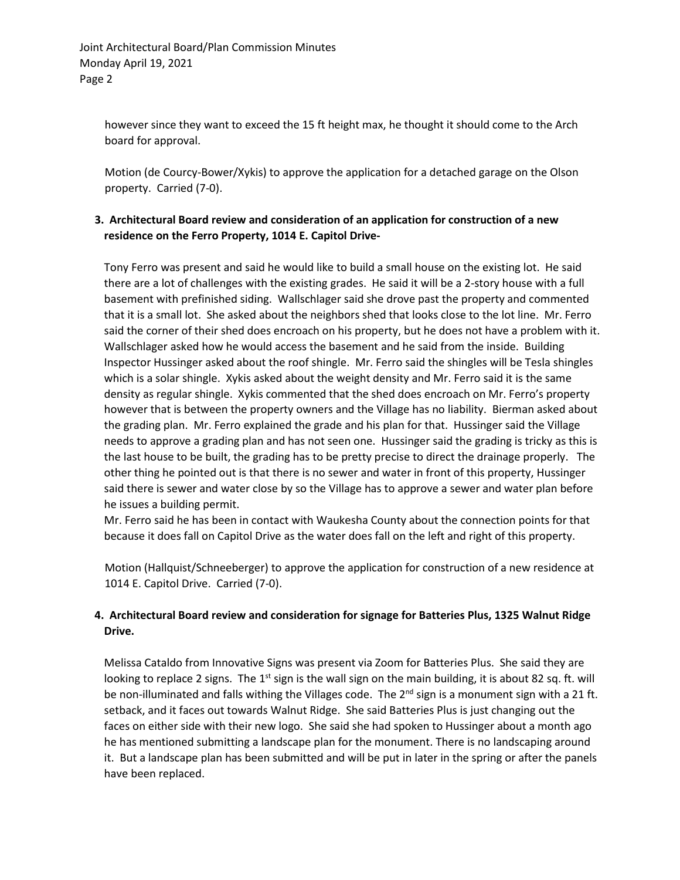however since they want to exceed the 15 ft height max, he thought it should come to the Arch board for approval.

Motion (de Courcy-Bower/Xykis) to approve the application for a detached garage on the Olson property. Carried (7-0).

### **3. Architectural Board review and consideration of an application for construction of a new residence on the Ferro Property, 1014 E. Capitol Drive-**

Tony Ferro was present and said he would like to build a small house on the existing lot. He said there are a lot of challenges with the existing grades. He said it will be a 2-story house with a full basement with prefinished siding. Wallschlager said she drove past the property and commented that it is a small lot. She asked about the neighbors shed that looks close to the lot line. Mr. Ferro said the corner of their shed does encroach on his property, but he does not have a problem with it. Wallschlager asked how he would access the basement and he said from the inside. Building Inspector Hussinger asked about the roof shingle. Mr. Ferro said the shingles will be Tesla shingles which is a solar shingle. Xykis asked about the weight density and Mr. Ferro said it is the same density as regular shingle. Xykis commented that the shed does encroach on Mr. Ferro's property however that is between the property owners and the Village has no liability. Bierman asked about the grading plan. Mr. Ferro explained the grade and his plan for that. Hussinger said the Village needs to approve a grading plan and has not seen one. Hussinger said the grading is tricky as this is the last house to be built, the grading has to be pretty precise to direct the drainage properly. The other thing he pointed out is that there is no sewer and water in front of this property, Hussinger said there is sewer and water close by so the Village has to approve a sewer and water plan before he issues a building permit.

Mr. Ferro said he has been in contact with Waukesha County about the connection points for that because it does fall on Capitol Drive as the water does fall on the left and right of this property.

Motion (Hallquist/Schneeberger) to approve the application for construction of a new residence at 1014 E. Capitol Drive. Carried (7-0).

## **4. Architectural Board review and consideration for signage for Batteries Plus, 1325 Walnut Ridge Drive.**

Melissa Cataldo from Innovative Signs was present via Zoom for Batteries Plus. She said they are looking to replace 2 signs. The 1<sup>st</sup> sign is the wall sign on the main building, it is about 82 sq. ft. will be non-illuminated and falls withing the Villages code. The  $2<sup>nd</sup>$  sign is a monument sign with a 21 ft. setback, and it faces out towards Walnut Ridge. She said Batteries Plus is just changing out the faces on either side with their new logo. She said she had spoken to Hussinger about a month ago he has mentioned submitting a landscape plan for the monument. There is no landscaping around it. But a landscape plan has been submitted and will be put in later in the spring or after the panels have been replaced.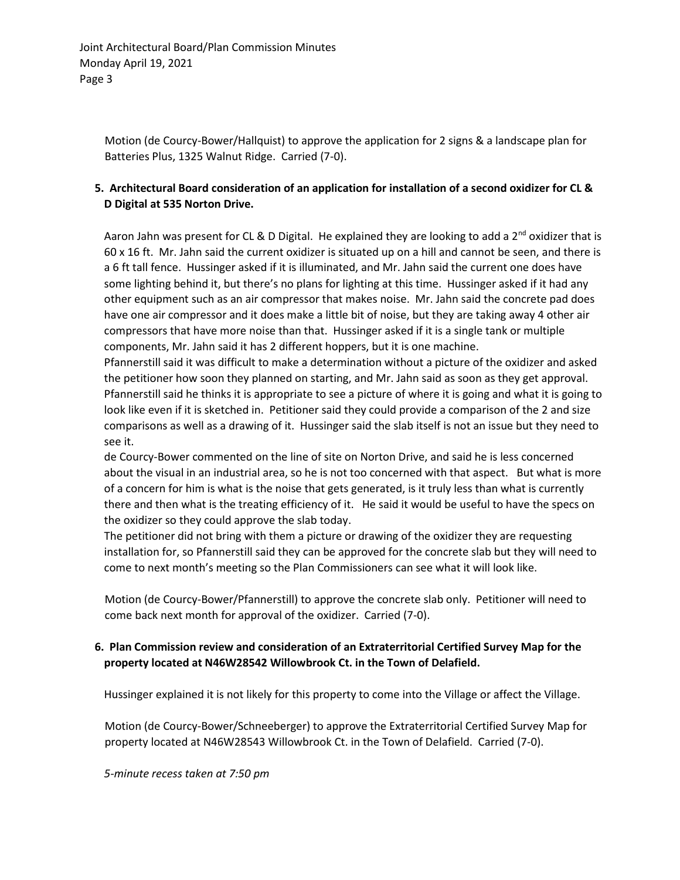Motion (de Courcy-Bower/Hallquist) to approve the application for 2 signs & a landscape plan for Batteries Plus, 1325 Walnut Ridge. Carried (7-0).

### **5. Architectural Board consideration of an application for installation of a second oxidizer for CL & D Digital at 535 Norton Drive.**

Aaron Jahn was present for CL & D Digital. He explained they are looking to add a  $2^{nd}$  oxidizer that is 60 x 16 ft. Mr. Jahn said the current oxidizer is situated up on a hill and cannot be seen, and there is a 6 ft tall fence. Hussinger asked if it is illuminated, and Mr. Jahn said the current one does have some lighting behind it, but there's no plans for lighting at this time. Hussinger asked if it had any other equipment such as an air compressor that makes noise. Mr. Jahn said the concrete pad does have one air compressor and it does make a little bit of noise, but they are taking away 4 other air compressors that have more noise than that. Hussinger asked if it is a single tank or multiple components, Mr. Jahn said it has 2 different hoppers, but it is one machine.

Pfannerstill said it was difficult to make a determination without a picture of the oxidizer and asked the petitioner how soon they planned on starting, and Mr. Jahn said as soon as they get approval. Pfannerstill said he thinks it is appropriate to see a picture of where it is going and what it is going to look like even if it is sketched in. Petitioner said they could provide a comparison of the 2 and size comparisons as well as a drawing of it. Hussinger said the slab itself is not an issue but they need to see it.

de Courcy-Bower commented on the line of site on Norton Drive, and said he is less concerned about the visual in an industrial area, so he is not too concerned with that aspect. But what is more of a concern for him is what is the noise that gets generated, is it truly less than what is currently there and then what is the treating efficiency of it. He said it would be useful to have the specs on the oxidizer so they could approve the slab today.

The petitioner did not bring with them a picture or drawing of the oxidizer they are requesting installation for, so Pfannerstill said they can be approved for the concrete slab but they will need to come to next month's meeting so the Plan Commissioners can see what it will look like.

Motion (de Courcy-Bower/Pfannerstill) to approve the concrete slab only. Petitioner will need to come back next month for approval of the oxidizer. Carried (7-0).

## **6. Plan Commission review and consideration of an Extraterritorial Certified Survey Map for the property located at N46W28542 Willowbrook Ct. in the Town of Delafield.**

Hussinger explained it is not likely for this property to come into the Village or affect the Village.

Motion (de Courcy-Bower/Schneeberger) to approve the Extraterritorial Certified Survey Map for property located at N46W28543 Willowbrook Ct. in the Town of Delafield. Carried (7-0).

*5-minute recess taken at 7:50 pm*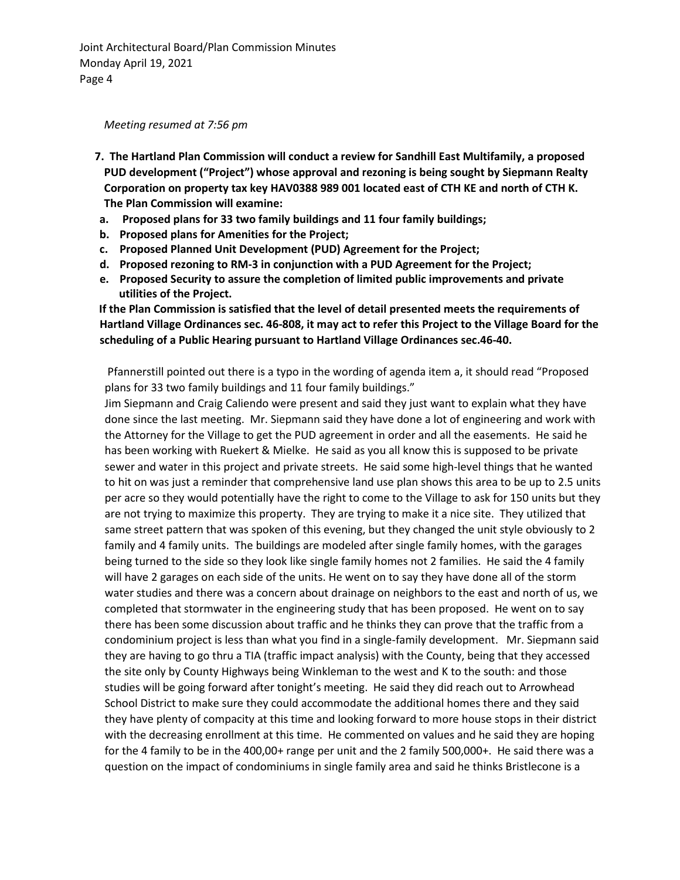Joint Architectural Board/Plan Commission Minutes Monday April 19, 2021 Page 4

#### *Meeting resumed at 7:56 pm*

- **7. The Hartland Plan Commission will conduct a review for Sandhill East Multifamily, a proposed PUD development ("Project") whose approval and rezoning is being sought by Siepmann Realty Corporation on property tax key HAV0388 989 001 located east of CTH KE and north of CTH K. The Plan Commission will examine:**
- **a. Proposed plans for 33 two family buildings and 11 four family buildings;**
- **b. Proposed plans for Amenities for the Project;**
- **c. Proposed Planned Unit Development (PUD) Agreement for the Project;**
- **d. Proposed rezoning to RM-3 in conjunction with a PUD Agreement for the Project;**
- **e. Proposed Security to assure the completion of limited public improvements and private utilities of the Project.**

**If the Plan Commission is satisfied that the level of detail presented meets the requirements of Hartland Village Ordinances sec. 46-808, it may act to refer this Project to the Village Board for the scheduling of a Public Hearing pursuant to Hartland Village Ordinances sec.46-40.** 

Pfannerstill pointed out there is a typo in the wording of agenda item a, it should read "Proposed plans for 33 two family buildings and 11 four family buildings."

Jim Siepmann and Craig Caliendo were present and said they just want to explain what they have done since the last meeting. Mr. Siepmann said they have done a lot of engineering and work with the Attorney for the Village to get the PUD agreement in order and all the easements. He said he has been working with Ruekert & Mielke. He said as you all know this is supposed to be private sewer and water in this project and private streets. He said some high-level things that he wanted to hit on was just a reminder that comprehensive land use plan shows this area to be up to 2.5 units per acre so they would potentially have the right to come to the Village to ask for 150 units but they are not trying to maximize this property. They are trying to make it a nice site. They utilized that same street pattern that was spoken of this evening, but they changed the unit style obviously to 2 family and 4 family units. The buildings are modeled after single family homes, with the garages being turned to the side so they look like single family homes not 2 families. He said the 4 family will have 2 garages on each side of the units. He went on to say they have done all of the storm water studies and there was a concern about drainage on neighbors to the east and north of us, we completed that stormwater in the engineering study that has been proposed. He went on to say there has been some discussion about traffic and he thinks they can prove that the traffic from a condominium project is less than what you find in a single-family development. Mr. Siepmann said they are having to go thru a TIA (traffic impact analysis) with the County, being that they accessed the site only by County Highways being Winkleman to the west and K to the south: and those studies will be going forward after tonight's meeting. He said they did reach out to Arrowhead School District to make sure they could accommodate the additional homes there and they said they have plenty of compacity at this time and looking forward to more house stops in their district with the decreasing enrollment at this time. He commented on values and he said they are hoping for the 4 family to be in the 400,00+ range per unit and the 2 family 500,000+. He said there was a question on the impact of condominiums in single family area and said he thinks Bristlecone is a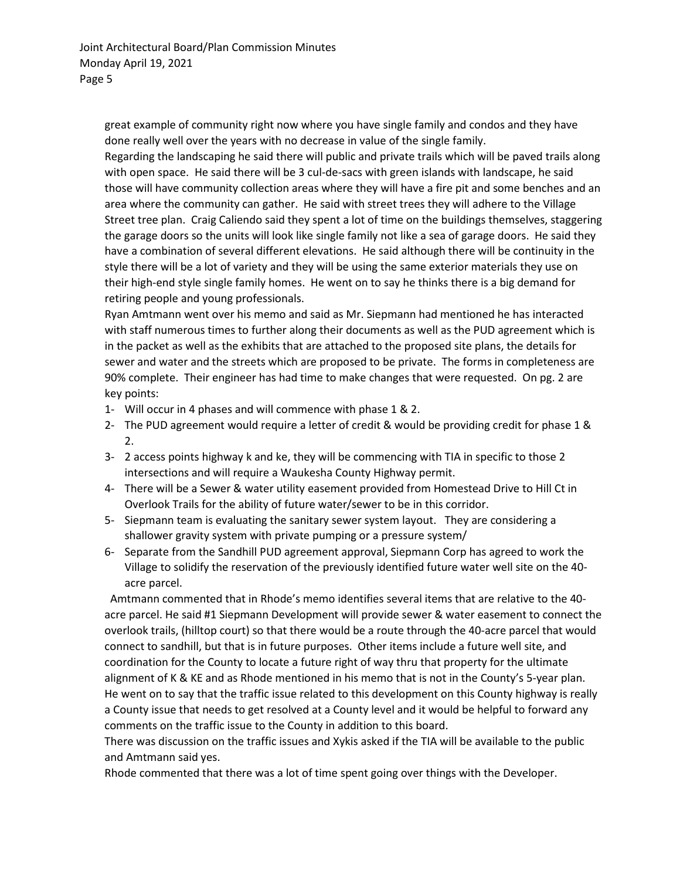great example of community right now where you have single family and condos and they have done really well over the years with no decrease in value of the single family.

Regarding the landscaping he said there will public and private trails which will be paved trails along with open space. He said there will be 3 cul-de-sacs with green islands with landscape, he said those will have community collection areas where they will have a fire pit and some benches and an area where the community can gather. He said with street trees they will adhere to the Village Street tree plan. Craig Caliendo said they spent a lot of time on the buildings themselves, staggering the garage doors so the units will look like single family not like a sea of garage doors. He said they have a combination of several different elevations. He said although there will be continuity in the style there will be a lot of variety and they will be using the same exterior materials they use on their high-end style single family homes. He went on to say he thinks there is a big demand for retiring people and young professionals.

Ryan Amtmann went over his memo and said as Mr. Siepmann had mentioned he has interacted with staff numerous times to further along their documents as well as the PUD agreement which is in the packet as well as the exhibits that are attached to the proposed site plans, the details for sewer and water and the streets which are proposed to be private. The forms in completeness are 90% complete. Their engineer has had time to make changes that were requested. On pg. 2 are key points:

- 1- Will occur in 4 phases and will commence with phase 1 & 2.
- 2- The PUD agreement would require a letter of credit & would be providing credit for phase 1 & 2.
- 3- 2 access points highway k and ke, they will be commencing with TIA in specific to those 2 intersections and will require a Waukesha County Highway permit.
- 4- There will be a Sewer & water utility easement provided from Homestead Drive to Hill Ct in Overlook Trails for the ability of future water/sewer to be in this corridor.
- 5- Siepmann team is evaluating the sanitary sewer system layout. They are considering a shallower gravity system with private pumping or a pressure system/
- 6- Separate from the Sandhill PUD agreement approval, Siepmann Corp has agreed to work the Village to solidify the reservation of the previously identified future water well site on the 40 acre parcel.

 Amtmann commented that in Rhode's memo identifies several items that are relative to the 40 acre parcel. He said #1 Siepmann Development will provide sewer & water easement to connect the overlook trails, (hilltop court) so that there would be a route through the 40-acre parcel that would connect to sandhill, but that is in future purposes. Other items include a future well site, and coordination for the County to locate a future right of way thru that property for the ultimate alignment of K & KE and as Rhode mentioned in his memo that is not in the County's 5-year plan. He went on to say that the traffic issue related to this development on this County highway is really a County issue that needs to get resolved at a County level and it would be helpful to forward any comments on the traffic issue to the County in addition to this board.

There was discussion on the traffic issues and Xykis asked if the TIA will be available to the public and Amtmann said yes.

Rhode commented that there was a lot of time spent going over things with the Developer.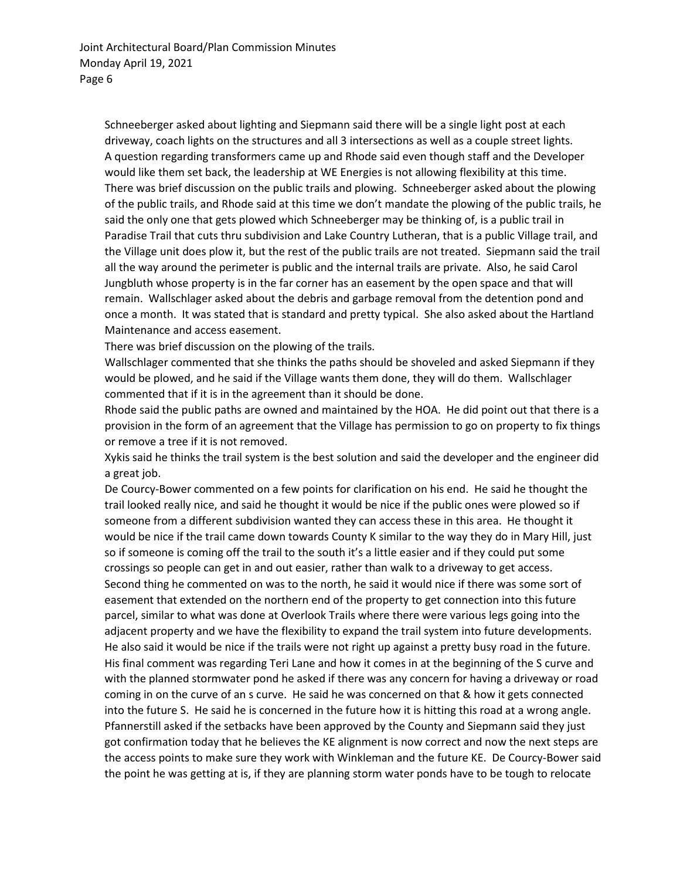Schneeberger asked about lighting and Siepmann said there will be a single light post at each driveway, coach lights on the structures and all 3 intersections as well as a couple street lights. A question regarding transformers came up and Rhode said even though staff and the Developer would like them set back, the leadership at WE Energies is not allowing flexibility at this time. There was brief discussion on the public trails and plowing. Schneeberger asked about the plowing of the public trails, and Rhode said at this time we don't mandate the plowing of the public trails, he said the only one that gets plowed which Schneeberger may be thinking of, is a public trail in Paradise Trail that cuts thru subdivision and Lake Country Lutheran, that is a public Village trail, and the Village unit does plow it, but the rest of the public trails are not treated. Siepmann said the trail all the way around the perimeter is public and the internal trails are private. Also, he said Carol Jungbluth whose property is in the far corner has an easement by the open space and that will remain. Wallschlager asked about the debris and garbage removal from the detention pond and once a month. It was stated that is standard and pretty typical. She also asked about the Hartland Maintenance and access easement.

There was brief discussion on the plowing of the trails.

Wallschlager commented that she thinks the paths should be shoveled and asked Siepmann if they would be plowed, and he said if the Village wants them done, they will do them. Wallschlager commented that if it is in the agreement than it should be done.

Rhode said the public paths are owned and maintained by the HOA. He did point out that there is a provision in the form of an agreement that the Village has permission to go on property to fix things or remove a tree if it is not removed.

Xykis said he thinks the trail system is the best solution and said the developer and the engineer did a great job.

De Courcy-Bower commented on a few points for clarification on his end. He said he thought the trail looked really nice, and said he thought it would be nice if the public ones were plowed so if someone from a different subdivision wanted they can access these in this area. He thought it would be nice if the trail came down towards County K similar to the way they do in Mary Hill, just so if someone is coming off the trail to the south it's a little easier and if they could put some crossings so people can get in and out easier, rather than walk to a driveway to get access. Second thing he commented on was to the north, he said it would nice if there was some sort of easement that extended on the northern end of the property to get connection into this future parcel, similar to what was done at Overlook Trails where there were various legs going into the adjacent property and we have the flexibility to expand the trail system into future developments. He also said it would be nice if the trails were not right up against a pretty busy road in the future. His final comment was regarding Teri Lane and how it comes in at the beginning of the S curve and with the planned stormwater pond he asked if there was any concern for having a driveway or road coming in on the curve of an s curve. He said he was concerned on that & how it gets connected into the future S. He said he is concerned in the future how it is hitting this road at a wrong angle. Pfannerstill asked if the setbacks have been approved by the County and Siepmann said they just got confirmation today that he believes the KE alignment is now correct and now the next steps are the access points to make sure they work with Winkleman and the future KE. De Courcy-Bower said the point he was getting at is, if they are planning storm water ponds have to be tough to relocate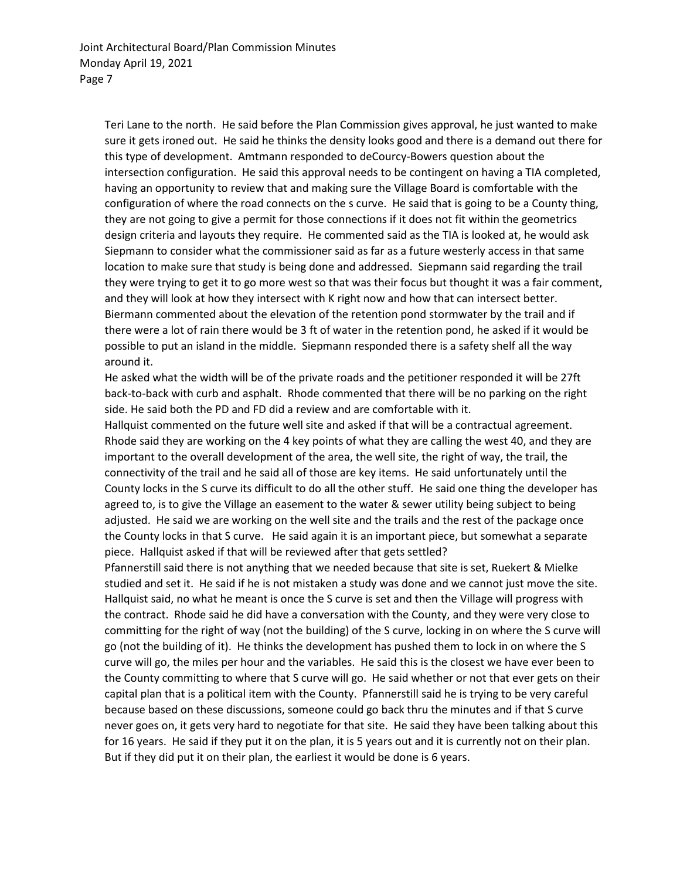Teri Lane to the north. He said before the Plan Commission gives approval, he just wanted to make sure it gets ironed out. He said he thinks the density looks good and there is a demand out there for this type of development. Amtmann responded to deCourcy-Bowers question about the intersection configuration. He said this approval needs to be contingent on having a TIA completed, having an opportunity to review that and making sure the Village Board is comfortable with the configuration of where the road connects on the s curve. He said that is going to be a County thing, they are not going to give a permit for those connections if it does not fit within the geometrics design criteria and layouts they require. He commented said as the TIA is looked at, he would ask Siepmann to consider what the commissioner said as far as a future westerly access in that same location to make sure that study is being done and addressed. Siepmann said regarding the trail they were trying to get it to go more west so that was their focus but thought it was a fair comment, and they will look at how they intersect with K right now and how that can intersect better. Biermann commented about the elevation of the retention pond stormwater by the trail and if there were a lot of rain there would be 3 ft of water in the retention pond, he asked if it would be possible to put an island in the middle. Siepmann responded there is a safety shelf all the way around it.

He asked what the width will be of the private roads and the petitioner responded it will be 27ft back-to-back with curb and asphalt. Rhode commented that there will be no parking on the right side. He said both the PD and FD did a review and are comfortable with it.

Hallquist commented on the future well site and asked if that will be a contractual agreement. Rhode said they are working on the 4 key points of what they are calling the west 40, and they are important to the overall development of the area, the well site, the right of way, the trail, the connectivity of the trail and he said all of those are key items. He said unfortunately until the County locks in the S curve its difficult to do all the other stuff. He said one thing the developer has agreed to, is to give the Village an easement to the water & sewer utility being subject to being adjusted. He said we are working on the well site and the trails and the rest of the package once the County locks in that S curve. He said again it is an important piece, but somewhat a separate piece. Hallquist asked if that will be reviewed after that gets settled?

Pfannerstill said there is not anything that we needed because that site is set, Ruekert & Mielke studied and set it. He said if he is not mistaken a study was done and we cannot just move the site. Hallquist said, no what he meant is once the S curve is set and then the Village will progress with the contract. Rhode said he did have a conversation with the County, and they were very close to committing for the right of way (not the building) of the S curve, locking in on where the S curve will go (not the building of it). He thinks the development has pushed them to lock in on where the S curve will go, the miles per hour and the variables. He said this is the closest we have ever been to the County committing to where that S curve will go. He said whether or not that ever gets on their capital plan that is a political item with the County. Pfannerstill said he is trying to be very careful because based on these discussions, someone could go back thru the minutes and if that S curve never goes on, it gets very hard to negotiate for that site. He said they have been talking about this for 16 years. He said if they put it on the plan, it is 5 years out and it is currently not on their plan. But if they did put it on their plan, the earliest it would be done is 6 years.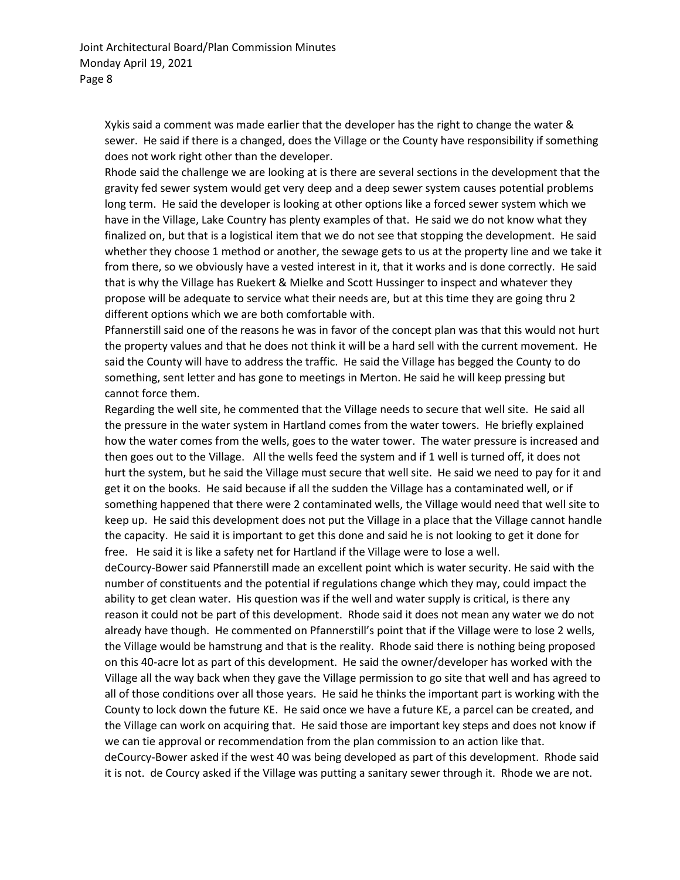Xykis said a comment was made earlier that the developer has the right to change the water & sewer. He said if there is a changed, does the Village or the County have responsibility if something does not work right other than the developer.

Rhode said the challenge we are looking at is there are several sections in the development that the gravity fed sewer system would get very deep and a deep sewer system causes potential problems long term. He said the developer is looking at other options like a forced sewer system which we have in the Village, Lake Country has plenty examples of that. He said we do not know what they finalized on, but that is a logistical item that we do not see that stopping the development. He said whether they choose 1 method or another, the sewage gets to us at the property line and we take it from there, so we obviously have a vested interest in it, that it works and is done correctly. He said that is why the Village has Ruekert & Mielke and Scott Hussinger to inspect and whatever they propose will be adequate to service what their needs are, but at this time they are going thru 2 different options which we are both comfortable with.

Pfannerstill said one of the reasons he was in favor of the concept plan was that this would not hurt the property values and that he does not think it will be a hard sell with the current movement. He said the County will have to address the traffic. He said the Village has begged the County to do something, sent letter and has gone to meetings in Merton. He said he will keep pressing but cannot force them.

Regarding the well site, he commented that the Village needs to secure that well site. He said all the pressure in the water system in Hartland comes from the water towers. He briefly explained how the water comes from the wells, goes to the water tower. The water pressure is increased and then goes out to the Village. All the wells feed the system and if 1 well is turned off, it does not hurt the system, but he said the Village must secure that well site. He said we need to pay for it and get it on the books. He said because if all the sudden the Village has a contaminated well, or if something happened that there were 2 contaminated wells, the Village would need that well site to keep up. He said this development does not put the Village in a place that the Village cannot handle the capacity. He said it is important to get this done and said he is not looking to get it done for free. He said it is like a safety net for Hartland if the Village were to lose a well.

deCourcy-Bower said Pfannerstill made an excellent point which is water security. He said with the number of constituents and the potential if regulations change which they may, could impact the ability to get clean water. His question was if the well and water supply is critical, is there any reason it could not be part of this development. Rhode said it does not mean any water we do not already have though. He commented on Pfannerstill's point that if the Village were to lose 2 wells, the Village would be hamstrung and that is the reality. Rhode said there is nothing being proposed on this 40-acre lot as part of this development. He said the owner/developer has worked with the Village all the way back when they gave the Village permission to go site that well and has agreed to all of those conditions over all those years. He said he thinks the important part is working with the County to lock down the future KE. He said once we have a future KE, a parcel can be created, and the Village can work on acquiring that. He said those are important key steps and does not know if we can tie approval or recommendation from the plan commission to an action like that. deCourcy-Bower asked if the west 40 was being developed as part of this development. Rhode said it is not. de Courcy asked if the Village was putting a sanitary sewer through it. Rhode we are not.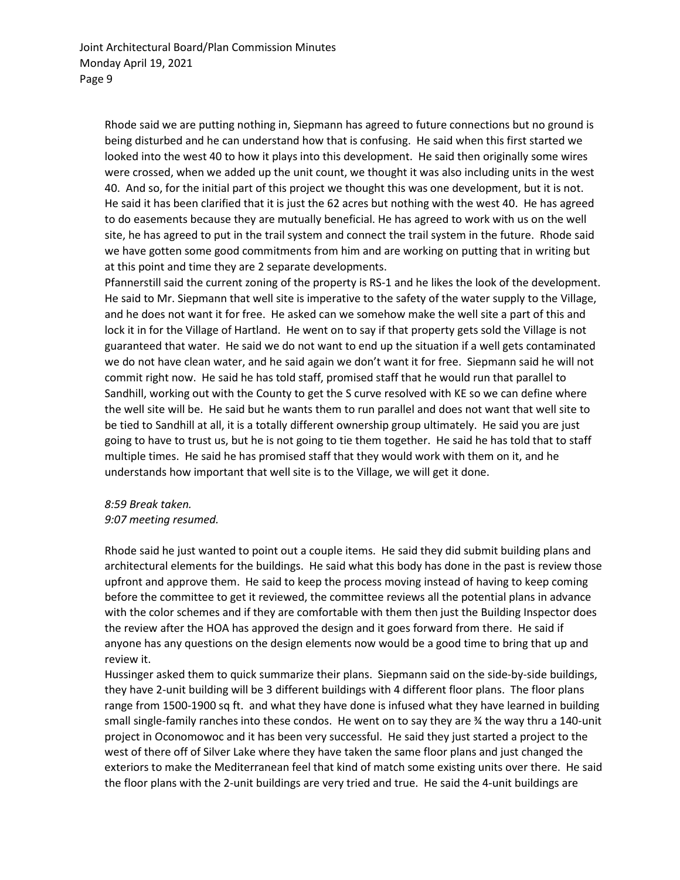Rhode said we are putting nothing in, Siepmann has agreed to future connections but no ground is being disturbed and he can understand how that is confusing. He said when this first started we looked into the west 40 to how it plays into this development. He said then originally some wires were crossed, when we added up the unit count, we thought it was also including units in the west 40. And so, for the initial part of this project we thought this was one development, but it is not. He said it has been clarified that it is just the 62 acres but nothing with the west 40. He has agreed to do easements because they are mutually beneficial. He has agreed to work with us on the well site, he has agreed to put in the trail system and connect the trail system in the future. Rhode said we have gotten some good commitments from him and are working on putting that in writing but at this point and time they are 2 separate developments.

Pfannerstill said the current zoning of the property is RS-1 and he likes the look of the development. He said to Mr. Siepmann that well site is imperative to the safety of the water supply to the Village, and he does not want it for free. He asked can we somehow make the well site a part of this and lock it in for the Village of Hartland. He went on to say if that property gets sold the Village is not guaranteed that water. He said we do not want to end up the situation if a well gets contaminated we do not have clean water, and he said again we don't want it for free. Siepmann said he will not commit right now. He said he has told staff, promised staff that he would run that parallel to Sandhill, working out with the County to get the S curve resolved with KE so we can define where the well site will be. He said but he wants them to run parallel and does not want that well site to be tied to Sandhill at all, it is a totally different ownership group ultimately. He said you are just going to have to trust us, but he is not going to tie them together. He said he has told that to staff multiple times. He said he has promised staff that they would work with them on it, and he understands how important that well site is to the Village, we will get it done.

#### *8:59 Break taken. 9:07 meeting resumed.*

Rhode said he just wanted to point out a couple items. He said they did submit building plans and architectural elements for the buildings. He said what this body has done in the past is review those upfront and approve them. He said to keep the process moving instead of having to keep coming before the committee to get it reviewed, the committee reviews all the potential plans in advance with the color schemes and if they are comfortable with them then just the Building Inspector does the review after the HOA has approved the design and it goes forward from there. He said if anyone has any questions on the design elements now would be a good time to bring that up and review it.

Hussinger asked them to quick summarize their plans. Siepmann said on the side-by-side buildings, they have 2-unit building will be 3 different buildings with 4 different floor plans. The floor plans range from 1500-1900 sq ft. and what they have done is infused what they have learned in building small single-family ranches into these condos. He went on to say they are ¾ the way thru a 140-unit project in Oconomowoc and it has been very successful. He said they just started a project to the west of there off of Silver Lake where they have taken the same floor plans and just changed the exteriors to make the Mediterranean feel that kind of match some existing units over there. He said the floor plans with the 2-unit buildings are very tried and true. He said the 4-unit buildings are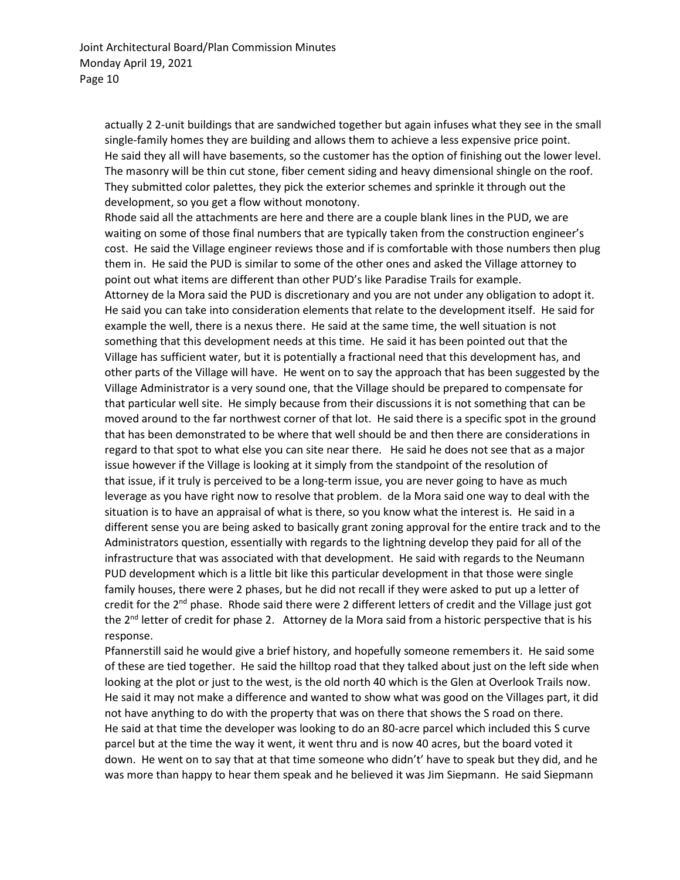actually 2 2-unit buildings that are sandwiched together but again infuses what they see in the small single-family homes they are building and allows them to achieve a less expensive price point. He said they all will have basements, so the customer has the option of finishing out the lower level. The masonry will be thin cut stone, fiber cement siding and heavy dimensional shingle on the roof. They submitted color palettes, they pick the exterior schemes and sprinkle it through out the development, so you get a flow without monotony.

Rhode said all the attachments are here and there are a couple blank lines in the PUD, we are waiting on some of those final numbers that are typically taken from the construction engineer's cost. He said the Village engineer reviews those and if is comfortable with those numbers then plug them in. He said the PUD is similar to some of the other ones and asked the Village attorney to point out what items are different than other PUD's like Paradise Trails for example. Attorney de la Mora said the PUD is discretionary and you are not under any obligation to adopt it. He said you can take into consideration elements that relate to the development itself. He said for example the well, there is a nexus there. He said at the same time, the well situation is not something that this development needs at this time. He said it has been pointed out that the Village has sufficient water, but it is potentially a fractional need that this development has, and other parts of the Village will have. He went on to say the approach that has been suggested by the Village Administrator is a very sound one, that the Village should be prepared to compensate for that particular well site. He simply because from their discussions it is not something that can be moved around to the far northwest corner of that lot. He said there is a specific spot in the ground that has been demonstrated to be where that well should be and then there are considerations in regard to that spot to what else you can site near there. He said he does not see that as a major issue however if the Village is looking at it simply from the standpoint of the resolution of that issue, if it truly is perceived to be a long-term issue, you are never going to have as much leverage as you have right now to resolve that problem. de la Mora said one way to deal with the situation is to have an appraisal of what is there, so you know what the interest is. He said in a different sense you are being asked to basically grant zoning approval for the entire track and to the Administrators question, essentially with regards to the lightning develop they paid for all of the infrastructure that was associated with that development. He said with regards to the Neumann PUD development which is a little bit like this particular development in that those were single family houses, there were 2 phases, but he did not recall if they were asked to put up a letter of credit for the  $2^{nd}$  phase. Rhode said there were 2 different letters of credit and the Village just got the  $2^{nd}$  letter of credit for phase 2. Attorney de la Mora said from a historic perspective that is his response.

Pfannerstill said he would give a brief history, and hopefully someone remembers it. He said some of these are tied together. He said the hilltop road that they talked about just on the left side when looking at the plot or just to the west, is the old north 40 which is the Glen at Overlook Trails now. He said it may not make a difference and wanted to show what was good on the Villages part, it did not have anything to do with the property that was on there that shows the S road on there. He said at that time the developer was looking to do an 80-acre parcel which included this S curve parcel but at the time the way it went, it went thru and is now 40 acres, but the board voted it down. He went on to say that at that time someone who didn't' have to speak but they did, and he was more than happy to hear them speak and he believed it was Jim Siepmann. He said Siepmann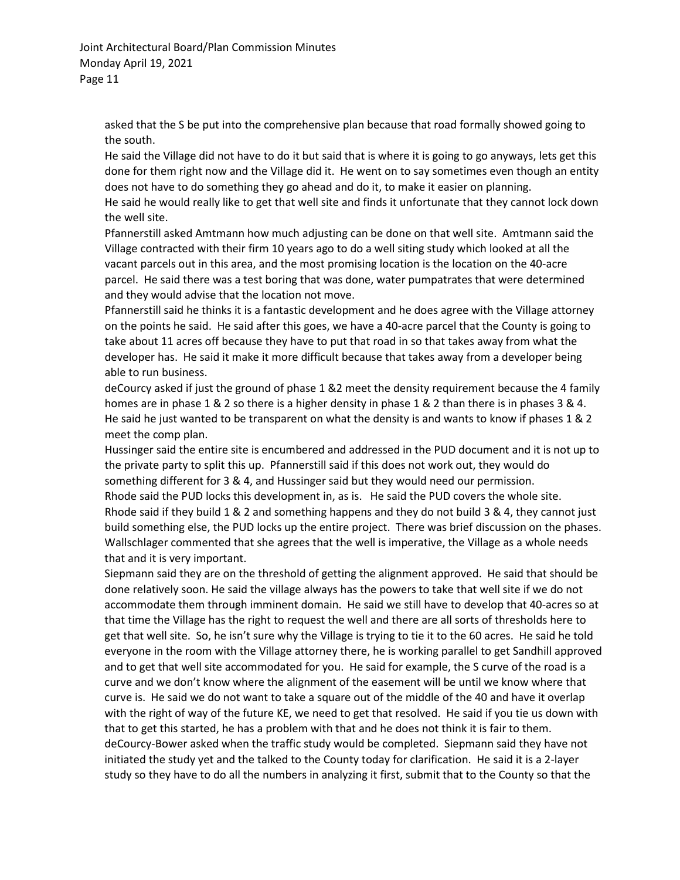Joint Architectural Board/Plan Commission Minutes Monday April 19, 2021 Page 11

asked that the S be put into the comprehensive plan because that road formally showed going to the south.

He said the Village did not have to do it but said that is where it is going to go anyways, lets get this done for them right now and the Village did it. He went on to say sometimes even though an entity does not have to do something they go ahead and do it, to make it easier on planning.

He said he would really like to get that well site and finds it unfortunate that they cannot lock down the well site.

Pfannerstill asked Amtmann how much adjusting can be done on that well site. Amtmann said the Village contracted with their firm 10 years ago to do a well siting study which looked at all the vacant parcels out in this area, and the most promising location is the location on the 40-acre parcel. He said there was a test boring that was done, water pumpatrates that were determined and they would advise that the location not move.

Pfannerstill said he thinks it is a fantastic development and he does agree with the Village attorney on the points he said. He said after this goes, we have a 40-acre parcel that the County is going to take about 11 acres off because they have to put that road in so that takes away from what the developer has. He said it make it more difficult because that takes away from a developer being able to run business.

deCourcy asked if just the ground of phase 1 &2 meet the density requirement because the 4 family homes are in phase 1 & 2 so there is a higher density in phase 1 & 2 than there is in phases 3 & 4. He said he just wanted to be transparent on what the density is and wants to know if phases 1 & 2 meet the comp plan.

Hussinger said the entire site is encumbered and addressed in the PUD document and it is not up to the private party to split this up. Pfannerstill said if this does not work out, they would do something different for 3 & 4, and Hussinger said but they would need our permission. Rhode said the PUD locks this development in, as is. He said the PUD covers the whole site. Rhode said if they build 1 & 2 and something happens and they do not build 3 & 4, they cannot just build something else, the PUD locks up the entire project. There was brief discussion on the phases. Wallschlager commented that she agrees that the well is imperative, the Village as a whole needs that and it is very important.

Siepmann said they are on the threshold of getting the alignment approved. He said that should be done relatively soon. He said the village always has the powers to take that well site if we do not accommodate them through imminent domain. He said we still have to develop that 40-acres so at that time the Village has the right to request the well and there are all sorts of thresholds here to get that well site. So, he isn't sure why the Village is trying to tie it to the 60 acres. He said he told everyone in the room with the Village attorney there, he is working parallel to get Sandhill approved and to get that well site accommodated for you. He said for example, the S curve of the road is a curve and we don't know where the alignment of the easement will be until we know where that curve is. He said we do not want to take a square out of the middle of the 40 and have it overlap with the right of way of the future KE, we need to get that resolved. He said if you tie us down with that to get this started, he has a problem with that and he does not think it is fair to them. deCourcy-Bower asked when the traffic study would be completed. Siepmann said they have not initiated the study yet and the talked to the County today for clarification. He said it is a 2-layer study so they have to do all the numbers in analyzing it first, submit that to the County so that the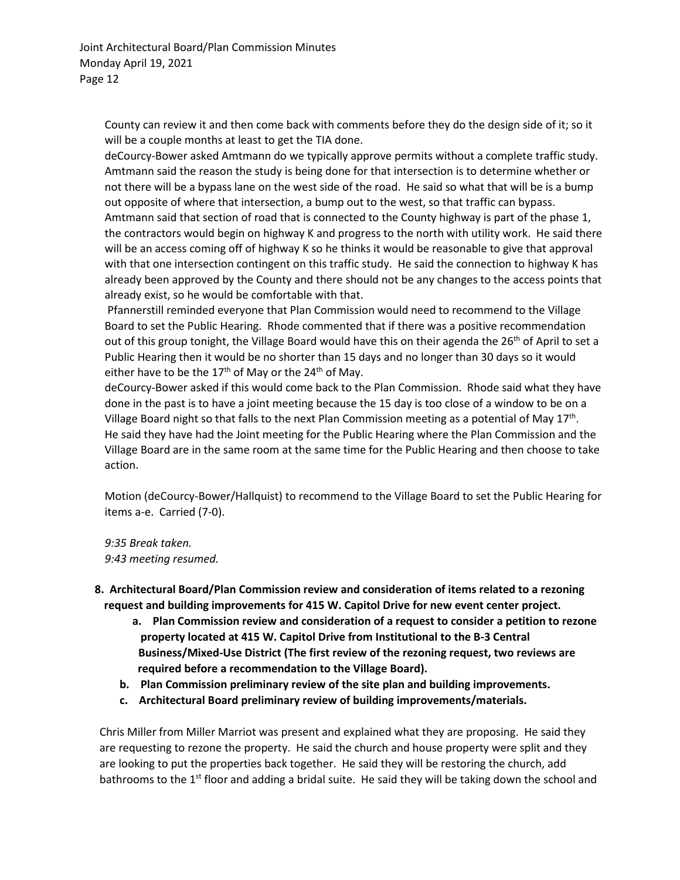County can review it and then come back with comments before they do the design side of it; so it will be a couple months at least to get the TIA done.

deCourcy-Bower asked Amtmann do we typically approve permits without a complete traffic study. Amtmann said the reason the study is being done for that intersection is to determine whether or not there will be a bypass lane on the west side of the road. He said so what that will be is a bump out opposite of where that intersection, a bump out to the west, so that traffic can bypass. Amtmann said that section of road that is connected to the County highway is part of the phase 1, the contractors would begin on highway K and progress to the north with utility work. He said there will be an access coming off of highway K so he thinks it would be reasonable to give that approval with that one intersection contingent on this traffic study. He said the connection to highway K has already been approved by the County and there should not be any changes to the access points that already exist, so he would be comfortable with that.

Pfannerstill reminded everyone that Plan Commission would need to recommend to the Village Board to set the Public Hearing. Rhode commented that if there was a positive recommendation out of this group tonight, the Village Board would have this on their agenda the 26<sup>th</sup> of April to set a Public Hearing then it would be no shorter than 15 days and no longer than 30 days so it would either have to be the  $17<sup>th</sup>$  of May or the  $24<sup>th</sup>$  of May.

deCourcy-Bower asked if this would come back to the Plan Commission. Rhode said what they have done in the past is to have a joint meeting because the 15 day is too close of a window to be on a Village Board night so that falls to the next Plan Commission meeting as a potential of May  $17<sup>th</sup>$ . He said they have had the Joint meeting for the Public Hearing where the Plan Commission and the Village Board are in the same room at the same time for the Public Hearing and then choose to take action.

Motion (deCourcy-Bower/Hallquist) to recommend to the Village Board to set the Public Hearing for items a-e. Carried (7-0).

*9:35 Break taken. 9:43 meeting resumed.*

- **8. Architectural Board/Plan Commission review and consideration of items related to a rezoning request and building improvements for 415 W. Capitol Drive for new event center project.**
	- **a. Plan Commission review and consideration of a request to consider a petition to rezone property located at 415 W. Capitol Drive from Institutional to the B-3 Central Business/Mixed-Use District (The first review of the rezoning request, two reviews are required before a recommendation to the Village Board).**
	- **b. Plan Commission preliminary review of the site plan and building improvements.**
	- **c. Architectural Board preliminary review of building improvements/materials.**

Chris Miller from Miller Marriot was present and explained what they are proposing. He said they are requesting to rezone the property. He said the church and house property were split and they are looking to put the properties back together. He said they will be restoring the church, add bathrooms to the 1<sup>st</sup> floor and adding a bridal suite. He said they will be taking down the school and